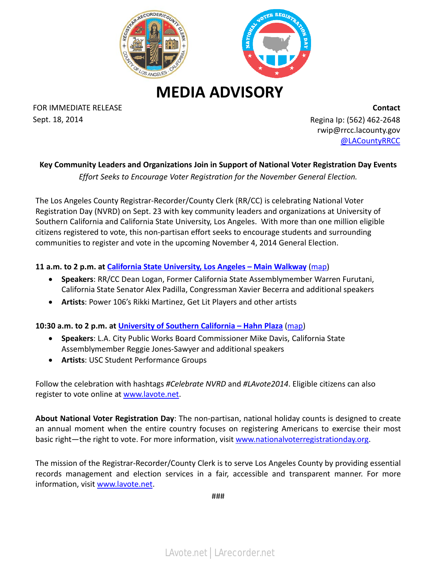

**MEDIA ADVISORY**

FOR IMMEDIATE RELEASE **Contact** Sept. 18, 2014 **Regina Ip: (562)** 462-2648

rwip@rrcc.lacounty.gov [@LACountyRRCC](https://twitter.com/lacountyrrcc)

## **Key Community Leaders and Organizations Join in Support of National Voter Registration Day Events**

*Effort Seeks to Encourage Voter Registration for the November General Election.* 

The Los Angeles County Registrar-Recorder/County Clerk (RR/CC) is celebrating National Voter Registration Day (NVRD) on Sept. 23 with key community leaders and organizations at University of Southern California and California State University, Los Angeles. With more than one million eligible citizens registered to vote, this non-partisan effort seeks to encourage students and surrounding communities to register and vote in the upcoming November 4, 2014 General Election.

## **11 a.m. to 2 p.m. at [California State University, Los Angeles –](http://www.asicsula.org/vote) Main Walkway** [\(map\)](http://www.calstatela.edu/univ/maps/index.php)

- **Speakers**: RR/CC Dean Logan, Former California State Assemblymember Warren Furutani, California State Senator Alex Padilla, Congressman Xavier Becerra and additional speakers
- **Artists**: Power 106's Rikki Martinez, Get Lit Players and other artists

**10:30 a.m. to 2 p.m. at [University of Southern California –](http://dornsife.usc.edu/unruh/events/) Hahn Plaza** [\(map\)](http://web-app.usc.edu/maps/)

- **Speakers**: L.A. City Public Works Board Commissioner Mike Davis, California State Assemblymember Reggie Jones-Sawyer and additional speakers
- **Artists**: USC Student Performance Groups

Follow the celebration with hashtags *#Celebrate NVRD* and *#LAvote2014*. Eligible citizens can also register to vote online at [www.lavote.net.](http://www.lavote.net/)

**About National Voter Registration Day**: The non-partisan, national holiday counts is designed to create an annual moment when the entire country focuses on registering Americans to exercise their most basic right—the right to vote. For more information, visit [www.nationalvoterregistrationday.org.](http://www.nationalvoterregistrationday.org/)

The mission of the Registrar-Recorder/County Clerk is to serve Los Angeles County by providing essential records management and election services in a fair, accessible and transparent manner. For more information, visit [www.lavote.net.](http://www.lavote.net/)

###